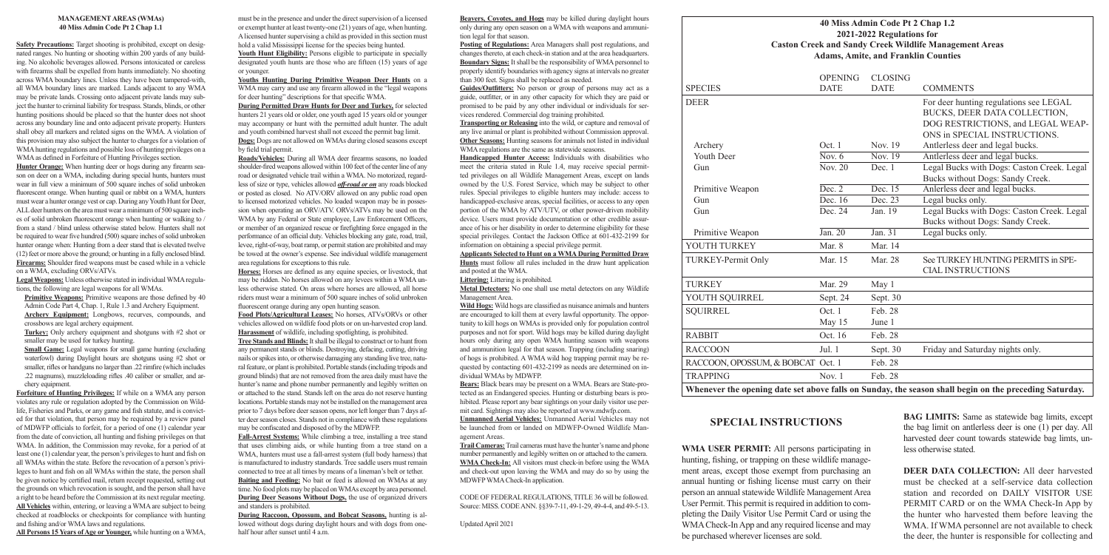### **40 Miss Admin Code Pt 2 Chap 1.2 2021-2022 Regulations for Caston Creek and Sandy Creek Wildlife Management Areas Adams, Amite, and Franklin Counties**

| <b>Caston Creek and Sandy Creek Wil</b><br><b>Adams, Amite, and Fran</b> |                      |                |
|--------------------------------------------------------------------------|----------------------|----------------|
|                                                                          | <b>OPENING</b>       | <b>CLOSING</b> |
| <b>SPECIES</b>                                                           | <b>DATE</b>          | <b>DATE</b>    |
| <b>DEER</b>                                                              |                      |                |
|                                                                          |                      |                |
| Archery                                                                  | Oct. 1               | Nov. 19        |
| Youth Deer                                                               | Nov. $6$             | Nov. $19$      |
| Gun                                                                      | Nov. 20              | Dec. 1         |
| Primitive Weapon                                                         | Dec. 2               | Dec. 15        |
| Gun                                                                      | Dec. $16$            | Dec. 23        |
| Gun                                                                      | Dec. 24              | Jan. 19        |
| Primitive Weapon                                                         | $\overline{Jan. 20}$ | Jan. 31        |
| YOUTH TURKEY                                                             | Mar. 8               | Mar. 14        |
| TURKEY-Permit Only                                                       | Mar. 15              | <b>Mar. 28</b> |
| <b>TURKEY</b>                                                            | Mar. 29              | May 1          |
| YOUTH SQUIRREL                                                           | Sept. 24             | Sept. 30       |
| <b>SQUIRREL</b>                                                          | Oct.1                | Feb. 28        |
|                                                                          | May 15               | June 1         |
| <b>RABBIT</b>                                                            | Oct. 16              | Feb. 28        |
| <b>RACCOON</b>                                                           | Jul. 1               | Sept. 30       |
| RACCOON, OPOSSUM, & BOBCAT Oct. 1                                        |                      | Feb. 28        |
| <b>TRAPPING</b>                                                          | Nov. $1$             | Feb. 28        |
| Whenever the opening date set above falls on Sunday, the                 |                      |                |

|                                                                                                        | <b>OPENING</b>              | <b>CLOSING</b> |                                            |  |  |
|--------------------------------------------------------------------------------------------------------|-----------------------------|----------------|--------------------------------------------|--|--|
| <b>SPECIES</b>                                                                                         | <b>DATE</b>                 | <b>DATE</b>    | <b>COMMENTS</b>                            |  |  |
| DEER                                                                                                   |                             |                | For deer hunting regulations see LEGAL     |  |  |
|                                                                                                        |                             |                | BUCKS, DEER DATA COLLECTION,               |  |  |
|                                                                                                        |                             |                | DOG RESTRICTIONS, and LEGAL WEAP-          |  |  |
|                                                                                                        |                             |                | ONS in SPECIAL INSTRUCTIONS.               |  |  |
| Archery                                                                                                | Oct. 1                      | Nov. 19        | Antlerless deer and legal bucks.           |  |  |
| <b>Youth Deer</b>                                                                                      | Nov. $6$                    | Nov. 19        | Antlerless deer and legal bucks.           |  |  |
| Gun                                                                                                    | $\overline{\text{Nov. 20}}$ | Dec. 1         | Legal Bucks with Dogs: Caston Creek. Legal |  |  |
|                                                                                                        |                             |                | Bucks without Dogs: Sandy Creek.           |  |  |
| Primitive Weapon                                                                                       | Dec. 2                      | Dec. 15        | Anlerless deer and legal bucks.            |  |  |
| Gun                                                                                                    | $\overline{\text{Dec. }16}$ | Dec. 23        | Legal bucks only.                          |  |  |
| Gun                                                                                                    | Dec. 24                     | Jan. 19        | Legal Bucks with Dogs: Caston Creek. Legal |  |  |
|                                                                                                        |                             |                | Bucks without Dogs: Sandy Creek.           |  |  |
| Primitive Weapon                                                                                       | Jan. 20                     | Jan. 31        | Legal bucks only.                          |  |  |
| YOUTH TURKEY                                                                                           | Mar. 8                      | Mar. 14        |                                            |  |  |
| <b>TURKEY-Permit Only</b>                                                                              | Mar. 15                     | Mar. 28        | See TURKEY HUNTING PERMITS in SPE-         |  |  |
|                                                                                                        |                             |                | <b>CIAL INSTRUCTIONS</b>                   |  |  |
| TURKEY                                                                                                 | Mar. 29                     | May 1          |                                            |  |  |
| YOUTH SQUIRREL                                                                                         | Sept. 24                    | Sept. 30       |                                            |  |  |
| <b>SQUIRREL</b>                                                                                        | Oct.1                       | Feb. 28        |                                            |  |  |
|                                                                                                        | May 15                      | June 1         |                                            |  |  |
| RABBIT                                                                                                 | Oct. 16                     | Feb. 28        |                                            |  |  |
| <b>RACCOON</b>                                                                                         | Jul. 1                      | Sept. 30       | Friday and Saturday nights only.           |  |  |
| RACCOON, OPOSSUM, & BOBCAT Oct. 1                                                                      |                             | Feb. 28        |                                            |  |  |
| <b>TRAPPING</b>                                                                                        | Nov. $1$                    | Feb. 28        |                                            |  |  |
| Whenever the opening date set above falls on Sunday, the season shall begin on the preceding Saturday. |                             |                |                                            |  |  |

**WMA USER PERMIT:** All persons participating in hunting, fishing, or trapping on these wildlife management areas, except those exempt from purchasing an annual hunting or fishing license must carry on their person an annual statewide Wildlife Management Area User Permit. This permit is required in addition to completing the Daily Visitor Use Permit Card or using the WMA Check-In App and any required license and may be purchased wherever licenses are sold.

**BAG LIMITS:** Same as statewide bag limits, except the bag limit on antlerless deer is one (1) per day. All harvested deer count towards statewide bag limts, unless otherwise stated.

Hunter **Orange:** When hunting deer or hogs during any firearm season on deer on a WMA, including during special hunts, hunters must wear in full view a minimum of 500 square inches of solid unbroken fluorescent orange. When hunting quail or rabbit on a WMA, hunters must wear a hunter orange vest or cap. During any Youth Hunt for Deer, ALL deer hunters on the area must wear a minimum of 500 square inches of solid unbroken fluorescent orange when hunting or walking to / from a stand / blind unless otherwise stated below. Hunters shall not be required to wear five hundred (500) square inches of solid unbroken hunter orange when: Hunting from a deer stand that is elevated twelve (12) feet or more above the ground; or hunting in a fully enclosed blind. **Firearms:** Shoulder fired weapons must be cased while in a vehicle on a WMA, excluding ORVs/ATVs.

> **DEER DATA COLLECTION:** All deer harvested must be checked at a self-service data collection station and recorded on DAILY VISITOR USE PERMIT CARD or on the WMA Check-In App by the hunter who harvested them before leaving the WMA. If WMA personnel are not available to check the deer, the hunter is responsible for collecting and

**Primitive Weapons:** Primitive weapons are those defined by 40 Admin Code Part 4, Chap. 1, Rule 1.3 and Archery Equipment. Archery Equipment: Longbows, recurves, compounds, and crossbows are legal archery equipment.

## **SPECIAL INSTRUCTIONS**

#### **MANAGEMENT AREAS (WMAs) 40 Miss Admin Code Pt 2 Chap 1.1**

**Small Game:** Legal weapons for small game hunting (excluding waterfowl) during Daylight hours are shotguns using #2 shot or smaller, rifles or handguns no larger than .22 rimfire (which includes .22 magnums), muzzleloading rifles .40 caliber or smaller, and archery equipment.

**Safety Precautions:** Target shooting is prohibited, except on designated ranges. No hunting or shooting within 200 yards of any building. No alcoholic beverages allowed. Persons intoxicated or careless with firearms shall be expelled from hunts immediately. No shooting across WMA boundary lines. Unless they have been tampered-with, all WMA boundary lines are marked. Lands adjacent to any WMA may be private lands. Crossing onto adjacent private lands may subject the hunter to criminal liability for trespass. Stands, blinds, or other hunting positions should be placed so that the hunter does not shoot across any boundary line and onto adjacent private property. Hunters shall obey all markers and related signs on the WMA. A violation of this provision may also subject the hunter to charges for a violation of WMA hunting regulations and possible loss of hunting privileges on a WMA as defined in Forfeiture of Hunting Privileges section.

Youth Hunt Eligibility: Persons eligible to participate in specially designated youth hunts are those who are fifteen (15) years of age or younger.

**Legal Weapons:** Unless otherwise stated in individual WMA regulations, the following are legal weapons for all WMAs.

**Turkey:** Only archery equipment and shotguns with #2 shot or smaller may be used for turkey hunting.

> **During Raccoon, Opossum, and Bobcat Seasons,** hunting is allowed without dogs during daylight hours and with dogs from onehalf hour after sunset until 4 a.m.

**Forfeiture of Hunting Privileges:** If while on a WMA any person violates any rule or regulation adopted by the Commission on Wildlife, Fisheries and Parks, or any game and fish statute, and is convicted for that violation, that person may be required by a review panel of MDWFP officials to forfeit, for a period of one (1) calendar year from the date of conviction, all hunting and fishing privileges on that WMA. In addition, the Commission may revoke, for a period of at least one (1) calendar year, the person's privileges to hunt and fish on all WMAs within the state. Before the revocation of a person's privileges to hunt and fish on all WMAs within the state, the person shall be given notice by certified mail, return receipt requested, setting out the grounds on which revocation is sought, and the person shall have a right to be heard before the Commission at its next regular meeting. **All Vehicles** within, entering, or leaving a WMA are subject to being checked at roadblocks or checkpoints for compliance with hunting and fishing and/or WMA laws and regulations.

**All Persons 15 Years of Age or Younger,** while hunting on a WMA,

must be in the presence and under the direct supervision of a licensed or exempt hunter at least twenty-one (21) years of age, when hunting. A licensed hunter supervising a child as provided in this section must hold a valid Mississippi license for the species being hunted.

**Youths Hunting During Primitive Weapon Deer Hunts** on a WMA may carry and use any firearm allowed in the "legal weapons for deer hunting" descriptions for that specific WMA.

**During Permitted Draw Hunts for Deer and Turkey,** for selected hunters 21 years old or older, one youth aged 15 years old or younger may accompany or hunt with the permitted adult hunter. The adult and youth combined harvest shall not exceed the permit bag limit. **Dogs:** Dogs are not allowed on WMAs during closed seasons except by field trial permit.

**Roads/Vehicles:** During all WMA deer firearms seasons, no loaded shoulder-fired weapons allowed within 100 feet of the center line of any road or designated vehicle trail within a WMA. No motorized, regardless of size or type, vehicles allowed *off-road or on* any roads blocked or posted as closed. No ATV/ORV allowed on any public road open to licensed motorized vehicles. No loaded weapon may be in possession when operating an ORV/ATV. ORVs/ATVs may be used on the WMA by any Federal or State employee, Law Enforcement Officers, or member of an organized rescue or firefighting force engaged in the performance of an official duty. Vehicles blocking any gate, road, trail, levee, right-of-way, boat ramp, or permit station are prohibited and may be towed at the owner's expense. See individual wildlife management area regulations for exceptions to this rule.

**Horses:** Horses are defined as any equine species, or livestock, that may be ridden. No horses allowed on any levees within a WMA unless otherwise stated. On areas where horses are allowed, all horse riders must wear a minimum of 500 square inches of solid unbroken fluorescent orange during any open hunting season.

**Food Plots/Agricultural Leases:** No horses, ATVs/ORVs or other vehicles allowed on wildlife food plots or on un-harvested crop land. **Harassment** of wildlife, including spotlighting, is prohibited.

**Tree Stands and Blinds:** It shall be illegal to construct or to hunt from any permanent stands or blinds. Destroying, defacing, cutting, driving nails or spikes into, or otherwise damaging any standing live tree, natural feature, or plant is prohibited. Portable stands (including tripods and ground blinds) that are not removed from the area daily must have the hunter's name and phone number permanently and legibly written on or attached to the stand. Stands left on the area do not reserve hunting locations. Portable stands may not be installed on the management area prior to 7 days before deer season opens, nor left longer than 7 days after deer season closes. Stands not in compliance with these regulations may be confiscated and disposed of by the MDWFP.

**Fall-Arrest Systems:** While climbing a tree, installing a tree stand that uses climbing aids, or while hunting from a tree stand on a WMA, hunters must use a fall-arrest system (full body harness) that is manufactured to industry standards. Tree saddle users must remain connected to tree at all times by means of a lineman's belt or tether. **Baiting and Feeding:** No bait or feed is allowed on WMAs at any time. No food plots may be placed on WMAs except by area personnel. **During Deer Seasons Without Dogs,** the use of organized drivers and standers is prohibited.

**Beavers, Coyotes, and Hogs** may be killed during daylight hours only during any open season on a WMA with weapons and ammunition legal for that season.

**Posting of Regulations:** Area Managers shall post regulations, and changes thereto, at each check-in station and at the area headquarters. **Boundary Signs:** It shall be the responsibility of WMA personnel to properly identify boundaries with agency signs at intervals no greater than 300 feet. Signs shall be replaced as needed.

**Guides/Outfitters:** No person or group of persons may act as a guide, outfitter, or in any other capacity for which they are paid or promised to be paid by any other individual or individuals for services rendered. Commercial dog training prohibited.

**Transporting or Releasing** into the wild, or capture and removal of any live animal or plant is prohibited without Commission approval. **Other Seasons:** Hunting seasons for animals not listed in individual WMA regulations are the same as statewide seasons.

**Handicapped Hunter Access:** Individuals with disabilities who meet the criteria stated in Rule 1.4, may receive special permitted privileges on all Wildlife Management Areas, except on lands owned by the U.S. Forest Service, which may be subject to other rules. Special privileges to eligible hunters may include: access to handicapped-exclusive areas, special facilities, or access to any open portion of the WMA by ATV/UTV, or other power-driven mobility device. Users must provide documentation or other credible assurance of his or her disability in order to determine eligibility for these special privileges. Contact the Jackson Office at 601-432-2199 for information on obtaining a special privilege permit.

#### **Applicants Selected to Hunt on a WMA During Permitted Draw**

**Hunts** must follow all rules included in the draw hunt application and posted at the WMA.

**Littering:** Littering is prohibited.

**Metal Detectors:** No one shall use metal detectors on any Wildlife Management Area.

**Wild Hogs:** Wild hogs are classified as nuisance animals and hunters are encouraged to kill them at every lawful opportunity. The opportunity to kill hogs on WMAs is provided only for population control purposes and not for sport. Wild hogs may be killed during daylight hours only during any open WMA hunting season with weapons and ammunition legal for that season. Trapping (including snaring) of hogs is prohibited. A WMA wild hog trapping permit may be requested by contacting 601-432-2199 as needs are determined on individual WMAs by MDWFP.

**Bears:** Black bears may be present on a WMA. Bears are State-protected as an Endangered species. Hunting or disturbing bears is prohibited. Please report any bear sightings on your daily visitor use permit card. Sightings may also be reported at www.mdwfp.com.

**Unmanned Aerial Vehicles:** Unmanned Aerial Vehicles may not be launched from or landed on MDWFP-Owned Wildlife Management Areas.

**Trail Cameras:** Trail cameras must have the hunter's name and phone number permanently and legibly written on or attached to the camera. **WMA Check-In:** All visitors must check-in before using the WMA and check-out upon leaving the WMA and may do so by using the MDWFP WMA Check-In application.

CODE OF FEDERAL REGULATIONS, TITLE 36 will be followed. Source: MISS. CODE ANN. §§39-7-11, 49-1-29, 49-4-4, and 49-5-13.

Updated April 2021